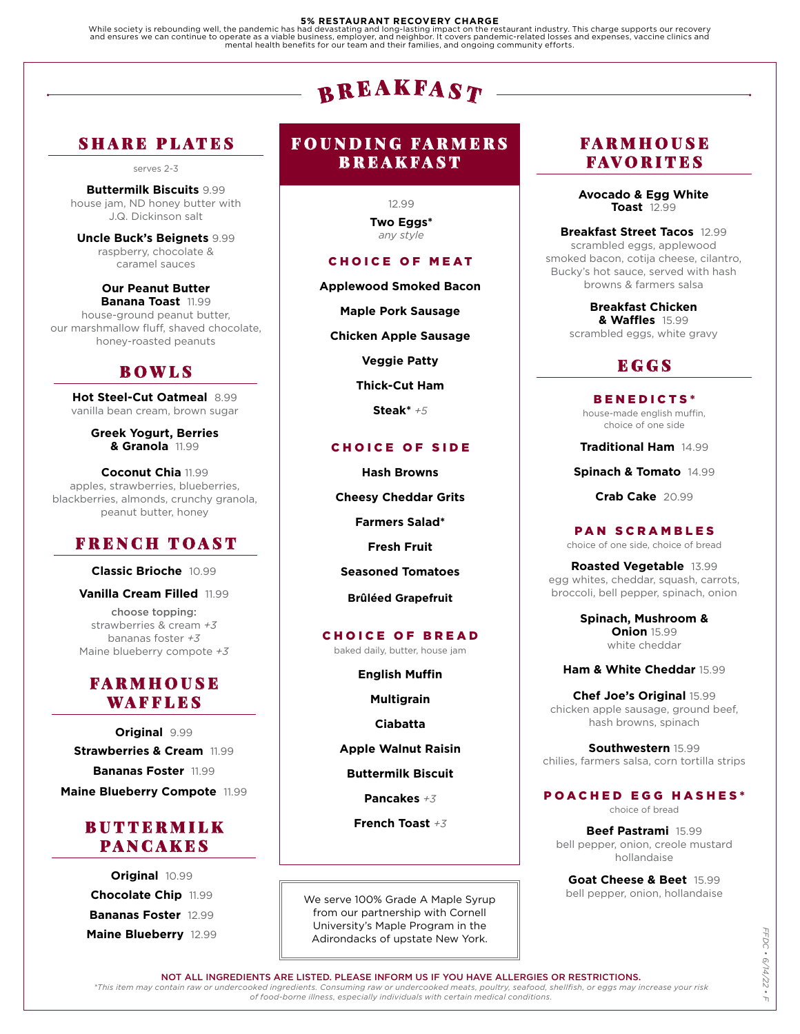### **5% RESTAURANT RECOVERY CHARGE**

While society is rebounding well, the pandemic has had devastating and long-lasting impact on the restaurant industry. This charge supports our recovery<br>and ensures we can continue to operate as a viable business, employer

# ${\bf B}$  R E A K F A S  $\bm{T}$

# SHARE PLATES

serves 2-3

**Buttermilk Biscuits** 9.99 house jam, ND honey butter with J.Q. Dickinson salt

**Uncle Buck's Beignets** 9.99 raspberry, chocolate & caramel sauces

**Our Peanut Butter Banana Toast** 11.99 house-ground peanut butter, our marshmallow fluff, shaved chocolate, honey-roasted peanuts

### BOWLS

**Hot Steel-Cut Oatmeal** 8.99 vanilla bean cream, brown sugar

> **Greek Yogurt, Berries & Granola** 11.99

**Coconut Chia** 11.99 apples, strawberries, blueberries, blackberries, almonds, crunchy granola, peanut butter, honey

# FRENCH TOAST

**Classic Brioche** 10.99

**Vanilla Cream Filled** 11.99

choose topping: strawberries & cream *+3* bananas foster *+3* Maine blueberry compote *+3*

### FARMHOUSE WAFFLES

**Original** 9.99 **Strawberries & Cream** 11.99 **Bananas Foster** 11.99 **Maine Blueberry Compote** 11.99

# BUTTERMILK PANCAKES

**Original** 10.99 **Chocolate Chip** 11.99 **Bananas Foster** 12.99 **Maine Blueberry** 12.99

## FOUNDING FARMERS BREAKFAST

12.99 **Two Eggs\*** *any style*

### CHOICE OF MEAT

**Applewood Smoked Bacon**

**Maple Pork Sausage**

**Chicken Apple Sausage**

**Veggie Patty**

**Thick-Cut Ham**

**Steak\*** *+5*

### CHOICE OF SIDE

**Hash Browns Cheesy Cheddar Grits Farmers Salad\***

**Fresh Fruit**

**Seasoned Tomatoes**

**Brûléed Grapefruit**

### CHOICE OF BREAD

baked daily, butter, house jam

**English Muffin**

**Multigrain**

**Ciabatta**

**Apple Walnut Raisin**

**Buttermilk Biscuit**

**Pancakes** *+3*

**French Toast** *+3*

We serve 100% Grade A Maple Syrup from our partnership with Cornell University's Maple Program in the Adirondacks of upstate New York.

### FARMHOUSE FAVORITES

**Avocado & Egg White Toast** 12.99

**Breakfast Street Tacos** 12.99 scrambled eggs, applewood smoked bacon, cotija cheese, cilantro, Bucky's hot sauce, served with hash browns & farmers salsa

> **Breakfast Chicken & Waffles** 15.99 scrambled eggs, white gravy

# **EGGS**

BENEDICTS\* house-made english muffin, choice of one side

**Traditional Ham** 14.99

**Spinach & Tomato** 14.99

**Crab Cake** 20.99

PAN SCRAMBLES choice of one side, choice of bread

**Roasted Vegetable** 13.99 egg whites, cheddar, squash, carrots, broccoli, bell pepper, spinach, onion

> **Spinach, Mushroom & Onion** 15.99 white cheddar

**Ham & White Cheddar** 15.99

**Chef Joe's Original** 15.99 chicken apple sausage, ground beef, hash browns, spinach

**Southwestern** 15.99 chilies, farmers salsa, corn tortilla strips

POACHED EGG HASHES\*

choice of bread

**Beef Pastrami** 15.99 bell pepper, onion, creole mustard hollandaise

**Goat Cheese & Beet** 15.99 bell pepper, onion, hollandaise

NOT ALL INGREDIENTS ARE LISTED. PLEASE INFORM US IF YOU HAVE ALLERGIES OR RESTRICTIONS.

*\*This item may contain raw or undercooked ingredients. Consuming raw or undercooked meats, poultry, seafood, shellfish, or eggs may increase your risk of food-borne illness, especially individuals with certain medical conditions.*